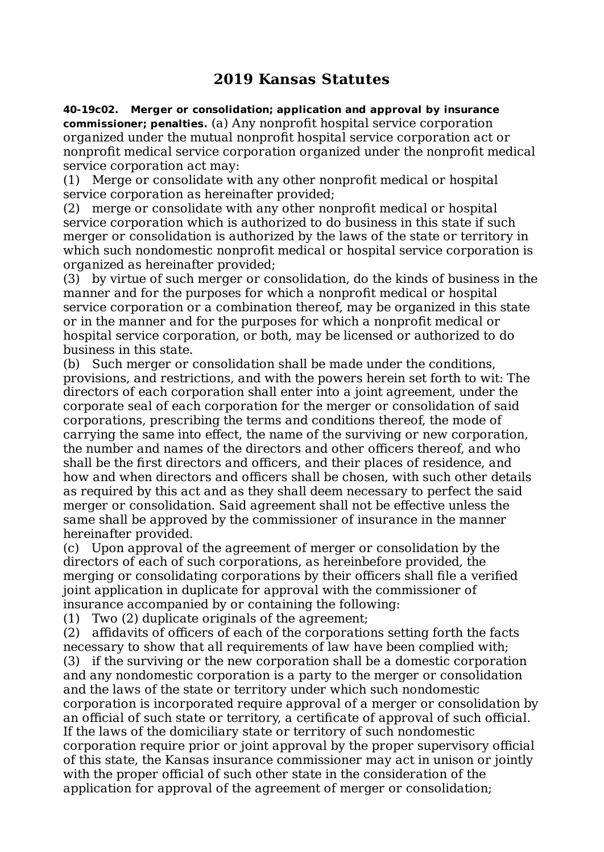## **2019 Kansas Statutes**

**40-19c02. Merger or consolidation; application and approval by insurance commissioner; penalties.** (a) Any nonprofit hospital service corporation organized under the mutual nonprofit hospital service corporation act or nonprofit medical service corporation organized under the nonprofit medical service corporation act may:

(1) Merge or consolidate with any other nonprofit medical or hospital service corporation as hereinafter provided;

(2) merge or consolidate with any other nonprofit medical or hospital service corporation which is authorized to do business in this state if such merger or consolidation is authorized by the laws of the state or territory in which such nondomestic nonprofit medical or hospital service corporation is organized as hereinafter provided;

(3) by virtue of such merger or consolidation, do the kinds of business in the manner and for the purposes for which a nonprofit medical or hospital service corporation or a combination thereof, may be organized in this state or in the manner and for the purposes for which a nonprofit medical or hospital service corporation, or both, may be licensed or authorized to do business in this state.

(b) Such merger or consolidation shall be made under the conditions, provisions, and restrictions, and with the powers herein set forth to wit: The directors of each corporation shall enter into a joint agreement, under the corporate seal of each corporation for the merger or consolidation of said corporations, prescribing the terms and conditions thereof, the mode of carrying the same into effect, the name of the surviving or new corporation, the number and names of the directors and other officers thereof, and who shall be the first directors and officers, and their places of residence, and how and when directors and officers shall be chosen, with such other details as required by this act and as they shall deem necessary to perfect the said merger or consolidation. Said agreement shall not be effective unless the same shall be approved by the commissioner of insurance in the manner hereinafter provided.

(c) Upon approval of the agreement of merger or consolidation by the directors of each of such corporations, as hereinbefore provided, the merging or consolidating corporations by their officers shall file a verified joint application in duplicate for approval with the commissioner of insurance accompanied by or containing the following:

(1) Two (2) duplicate originals of the agreement;

(2) affidavits of officers of each of the corporations setting forth the facts necessary to show that all requirements of law have been complied with;

(3) if the surviving or the new corporation shall be a domestic corporation and any nondomestic corporation is a party to the merger or consolidation and the laws of the state or territory under which such nondomestic corporation is incorporated require approval of a merger or consolidation by an official of such state or territory, a certificate of approval of such official. If the laws of the domiciliary state or territory of such nondomestic corporation require prior or joint approval by the proper supervisory official of this state, the Kansas insurance commissioner may act in unison or jointly with the proper official of such other state in the consideration of the application for approval of the agreement of merger or consolidation;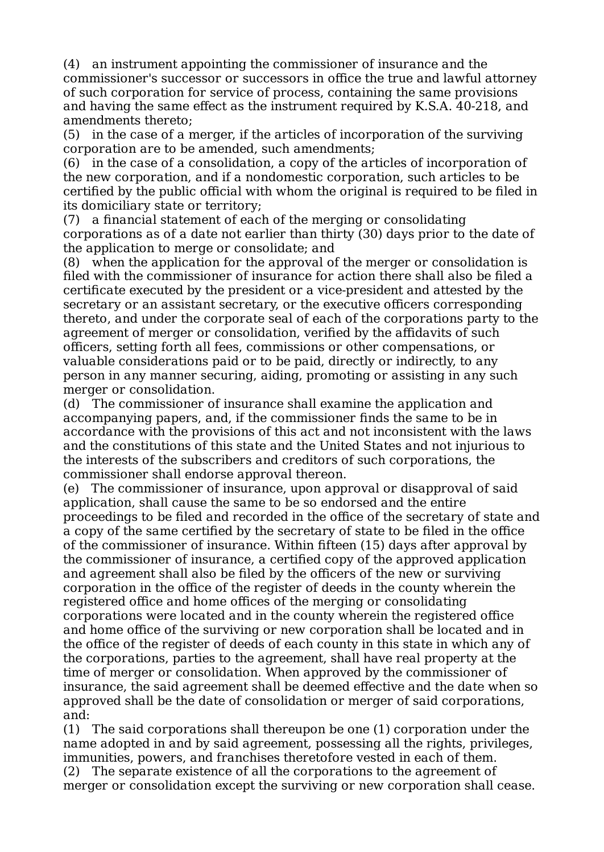(4) an instrument appointing the commissioner of insurance and the commissioner's successor or successors in office the true and lawful attorney of such corporation for service of process, containing the same provisions and having the same effect as the instrument required by K.S.A. 40-218, and amendments thereto;

(5) in the case of a merger, if the articles of incorporation of the surviving corporation are to be amended, such amendments;

(6) in the case of a consolidation, a copy of the articles of incorporation of the new corporation, and if a nondomestic corporation, such articles to be certified by the public official with whom the original is required to be filed in its domiciliary state or territory;

(7) a financial statement of each of the merging or consolidating corporations as of a date not earlier than thirty (30) days prior to the date of the application to merge or consolidate; and

(8) when the application for the approval of the merger or consolidation is filed with the commissioner of insurance for action there shall also be filed a certificate executed by the president or a vice-president and attested by the secretary or an assistant secretary, or the executive officers corresponding thereto, and under the corporate seal of each of the corporations party to the agreement of merger or consolidation, verified by the affidavits of such officers, setting forth all fees, commissions or other compensations, or valuable considerations paid or to be paid, directly or indirectly, to any person in any manner securing, aiding, promoting or assisting in any such merger or consolidation.

(d) The commissioner of insurance shall examine the application and accompanying papers, and, if the commissioner finds the same to be in accordance with the provisions of this act and not inconsistent with the laws and the constitutions of this state and the United States and not injurious to the interests of the subscribers and creditors of such corporations, the commissioner shall endorse approval thereon.

(e) The commissioner of insurance, upon approval or disapproval of said application, shall cause the same to be so endorsed and the entire proceedings to be filed and recorded in the office of the secretary of state and a copy of the same certified by the secretary of state to be filed in the office of the commissioner of insurance. Within fifteen (15) days after approval by the commissioner of insurance, a certified copy of the approved application and agreement shall also be filed by the officers of the new or surviving corporation in the office of the register of deeds in the county wherein the registered office and home offices of the merging or consolidating corporations were located and in the county wherein the registered office and home office of the surviving or new corporation shall be located and in the office of the register of deeds of each county in this state in which any of the corporations, parties to the agreement, shall have real property at the time of merger or consolidation. When approved by the commissioner of insurance, the said agreement shall be deemed effective and the date when so approved shall be the date of consolidation or merger of said corporations, and:

(1) The said corporations shall thereupon be one (1) corporation under the name adopted in and by said agreement, possessing all the rights, privileges, immunities, powers, and franchises theretofore vested in each of them.

(2) The separate existence of all the corporations to the agreement of merger or consolidation except the surviving or new corporation shall cease.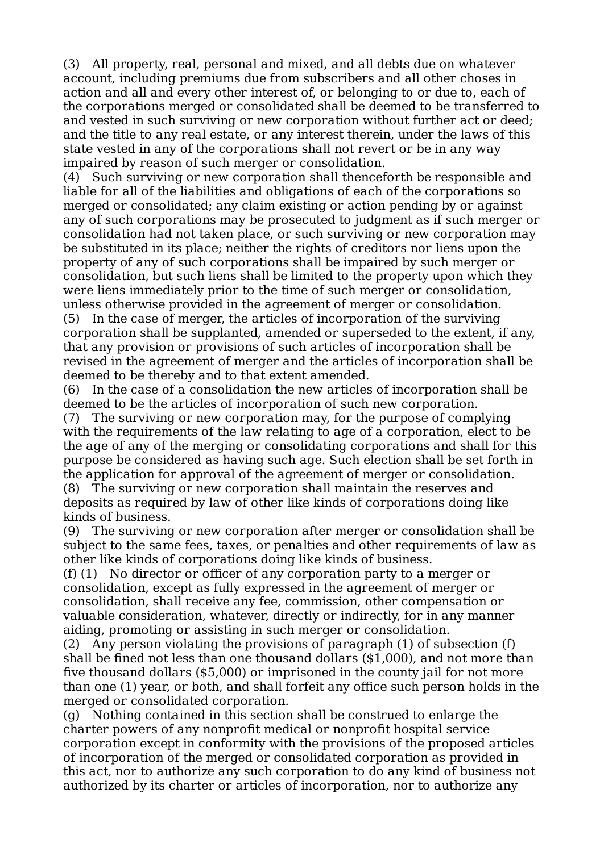(3) All property, real, personal and mixed, and all debts due on whatever account, including premiums due from subscribers and all other choses in action and all and every other interest of, or belonging to or due to, each of the corporations merged or consolidated shall be deemed to be transferred to and vested in such surviving or new corporation without further act or deed; and the title to any real estate, or any interest therein, under the laws of this state vested in any of the corporations shall not revert or be in any way impaired by reason of such merger or consolidation.

(4) Such surviving or new corporation shall thenceforth be responsible and liable for all of the liabilities and obligations of each of the corporations so merged or consolidated; any claim existing or action pending by or against any of such corporations may be prosecuted to judgment as if such merger or consolidation had not taken place, or such surviving or new corporation may be substituted in its place; neither the rights of creditors nor liens upon the property of any of such corporations shall be impaired by such merger or consolidation, but such liens shall be limited to the property upon which they were liens immediately prior to the time of such merger or consolidation, unless otherwise provided in the agreement of merger or consolidation. (5) In the case of merger, the articles of incorporation of the surviving

corporation shall be supplanted, amended or superseded to the extent, if any, that any provision or provisions of such articles of incorporation shall be revised in the agreement of merger and the articles of incorporation shall be deemed to be thereby and to that extent amended.

(6) In the case of a consolidation the new articles of incorporation shall be deemed to be the articles of incorporation of such new corporation.

(7) The surviving or new corporation may, for the purpose of complying with the requirements of the law relating to age of a corporation, elect to be the age of any of the merging or consolidating corporations and shall for this purpose be considered as having such age. Such election shall be set forth in the application for approval of the agreement of merger or consolidation.

(8) The surviving or new corporation shall maintain the reserves and deposits as required by law of other like kinds of corporations doing like kinds of business.

(9) The surviving or new corporation after merger or consolidation shall be subject to the same fees, taxes, or penalties and other requirements of law as other like kinds of corporations doing like kinds of business.

(f) (1) No director or officer of any corporation party to a merger or consolidation, except as fully expressed in the agreement of merger or consolidation, shall receive any fee, commission, other compensation or valuable consideration, whatever, directly or indirectly, for in any manner aiding, promoting or assisting in such merger or consolidation.

(2) Any person violating the provisions of paragraph (1) of subsection (f) shall be fined not less than one thousand dollars (\$1,000), and not more than five thousand dollars (\$5,000) or imprisoned in the county jail for not more than one (1) year, or both, and shall forfeit any office such person holds in the merged or consolidated corporation.

(g) Nothing contained in this section shall be construed to enlarge the charter powers of any nonprofit medical or nonprofit hospital service corporation except in conformity with the provisions of the proposed articles of incorporation of the merged or consolidated corporation as provided in this act, nor to authorize any such corporation to do any kind of business not authorized by its charter or articles of incorporation, nor to authorize any